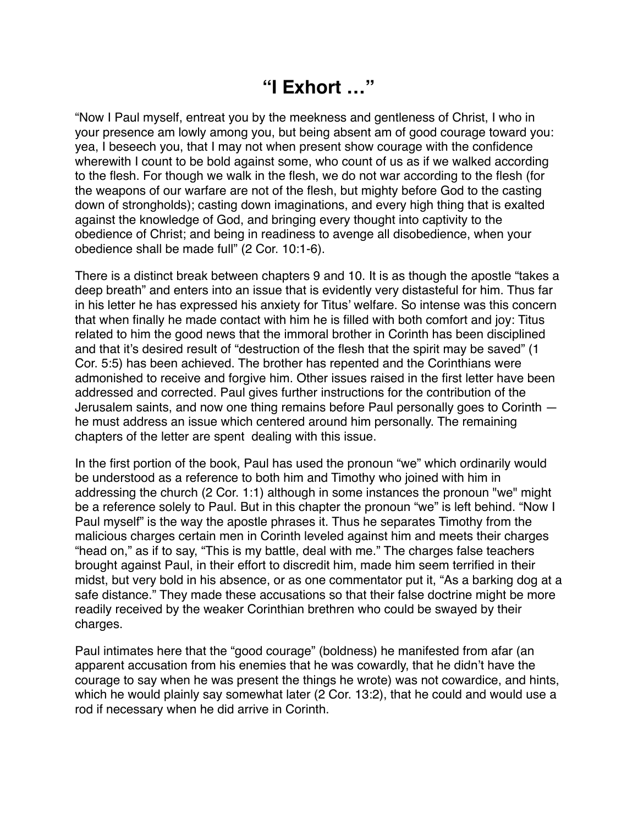## **"I Exhort …"**

"Now I Paul myself, entreat you by the meekness and gentleness of Christ, I who in your presence am lowly among you, but being absent am of good courage toward you: yea, I beseech you, that I may not when present show courage with the confidence wherewith I count to be bold against some, who count of us as if we walked according to the flesh. For though we walk in the flesh, we do not war according to the flesh (for the weapons of our warfare are not of the flesh, but mighty before God to the casting down of strongholds); casting down imaginations, and every high thing that is exalted against the knowledge of God, and bringing every thought into captivity to the obedience of Christ; and being in readiness to avenge all disobedience, when your obedience shall be made full" (2 Cor. 10:1-6).

There is a distinct break between chapters 9 and 10. It is as though the apostle "takes a deep breath" and enters into an issue that is evidently very distasteful for him. Thus far in his letter he has expressed his anxiety for Titus' welfare. So intense was this concern that when finally he made contact with him he is filled with both comfort and joy: Titus related to him the good news that the immoral brother in Corinth has been disciplined and that it's desired result of "destruction of the flesh that the spirit may be saved" (1 Cor. 5:5) has been achieved. The brother has repented and the Corinthians were admonished to receive and forgive him. Other issues raised in the first letter have been addressed and corrected. Paul gives further instructions for the contribution of the Jerusalem saints, and now one thing remains before Paul personally goes to Corinth he must address an issue which centered around him personally. The remaining chapters of the letter are spent dealing with this issue.

In the first portion of the book, Paul has used the pronoun "we" which ordinarily would be understood as a reference to both him and Timothy who joined with him in addressing the church (2 Cor. 1:1) although in some instances the pronoun "we" might be a reference solely to Paul. But in this chapter the pronoun "we" is left behind. "Now I Paul myself" is the way the apostle phrases it. Thus he separates Timothy from the malicious charges certain men in Corinth leveled against him and meets their charges "head on," as if to say, "This is my battle, deal with me." The charges false teachers brought against Paul, in their effort to discredit him, made him seem terrified in their midst, but very bold in his absence, or as one commentator put it, "As a barking dog at a safe distance." They made these accusations so that their false doctrine might be more readily received by the weaker Corinthian brethren who could be swayed by their charges.

Paul intimates here that the "good courage" (boldness) he manifested from afar (an apparent accusation from his enemies that he was cowardly, that he didn't have the courage to say when he was present the things he wrote) was not cowardice, and hints, which he would plainly say somewhat later (2 Cor. 13:2), that he could and would use a rod if necessary when he did arrive in Corinth.